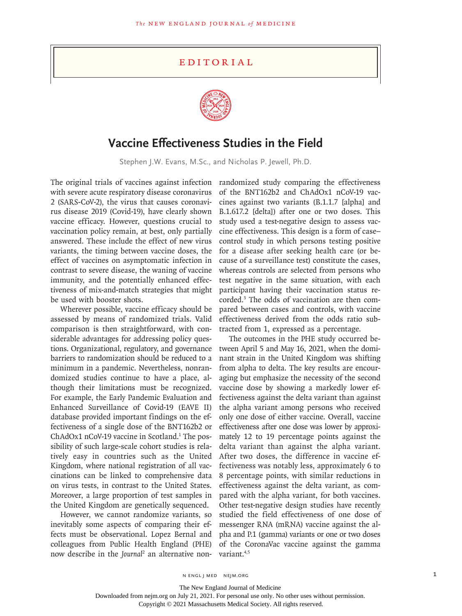## Editorial



## **Vaccine Effectiveness Studies in the Field**

Stephen J.W. Evans, M.Sc., and Nicholas P. Jewell, Ph.D.

The original trials of vaccines against infection with severe acute respiratory disease coronavirus 2 (SARS-CoV-2), the virus that causes coronavirus disease 2019 (Covid-19), have clearly shown vaccine efficacy. However, questions crucial to vaccination policy remain, at best, only partially answered. These include the effect of new virus variants, the timing between vaccine doses, the effect of vaccines on asymptomatic infection in contrast to severe disease, the waning of vaccine immunity, and the potentially enhanced effectiveness of mix-and-match strategies that might be used with booster shots.

Wherever possible, vaccine efficacy should be assessed by means of randomized trials. Valid comparison is then straightforward, with considerable advantages for addressing policy questions. Organizational, regulatory, and governance barriers to randomization should be reduced to a minimum in a pandemic. Nevertheless, nonrandomized studies continue to have a place, although their limitations must be recognized. For example, the Early Pandemic Evaluation and Enhanced Surveillance of Covid-19 (EAVE II) database provided important findings on the effectiveness of a single dose of the BNT162b2 or ChAdOx1 nCoV-19 vaccine in Scotland.<sup>1</sup> The possibility of such large-scale cohort studies is relatively easy in countries such as the United Kingdom, where national registration of all vaccinations can be linked to comprehensive data on virus tests, in contrast to the United States. Moreover, a large proportion of test samples in the United Kingdom are genetically sequenced.

However, we cannot randomize variants, so inevitably some aspects of comparing their effects must be observational. Lopez Bernal and colleagues from Public Health England (PHE) now describe in the *Journal*<sup>2</sup> an alternative non-

randomized study comparing the effectiveness of the BNT162b2 and ChAdOx1 nCoV-19 vaccines against two variants (B.1.1.7 [alpha] and B.1.617.2 [delta]) after one or two doses. This study used a test-negative design to assess vaccine effectiveness. This design is a form of case– control study in which persons testing positive for a disease after seeking health care (or because of a surveillance test) constitute the cases, whereas controls are selected from persons who test negative in the same situation, with each participant having their vaccination status recorded.3 The odds of vaccination are then compared between cases and controls, with vaccine effectiveness derived from the odds ratio subtracted from 1, expressed as a percentage.

The outcomes in the PHE study occurred between April 5 and May 16, 2021, when the dominant strain in the United Kingdom was shifting from alpha to delta. The key results are encouraging but emphasize the necessity of the second vaccine dose by showing a markedly lower effectiveness against the delta variant than against the alpha variant among persons who received only one dose of either vaccine. Overall, vaccine effectiveness after one dose was lower by approximately 12 to 19 percentage points against the delta variant than against the alpha variant. After two doses, the difference in vaccine effectiveness was notably less, approximately 6 to 8 percentage points, with similar reductions in effectiveness against the delta variant, as compared with the alpha variant, for both vaccines. Other test-negative design studies have recently studied the field effectiveness of one dose of messenger RNA (mRNA) vaccine against the alpha and P.1 (gamma) variants or one or two doses of the CoronaVac vaccine against the gamma variant.<sup>4,5</sup>

N ENGL J MED NEJM.ORG 1

The New England Journal of Medicine

Downloaded from nejm.org on July 21, 2021. For personal use only. No other uses without permission.

Copyright © 2021 Massachusetts Medical Society. All rights reserved.